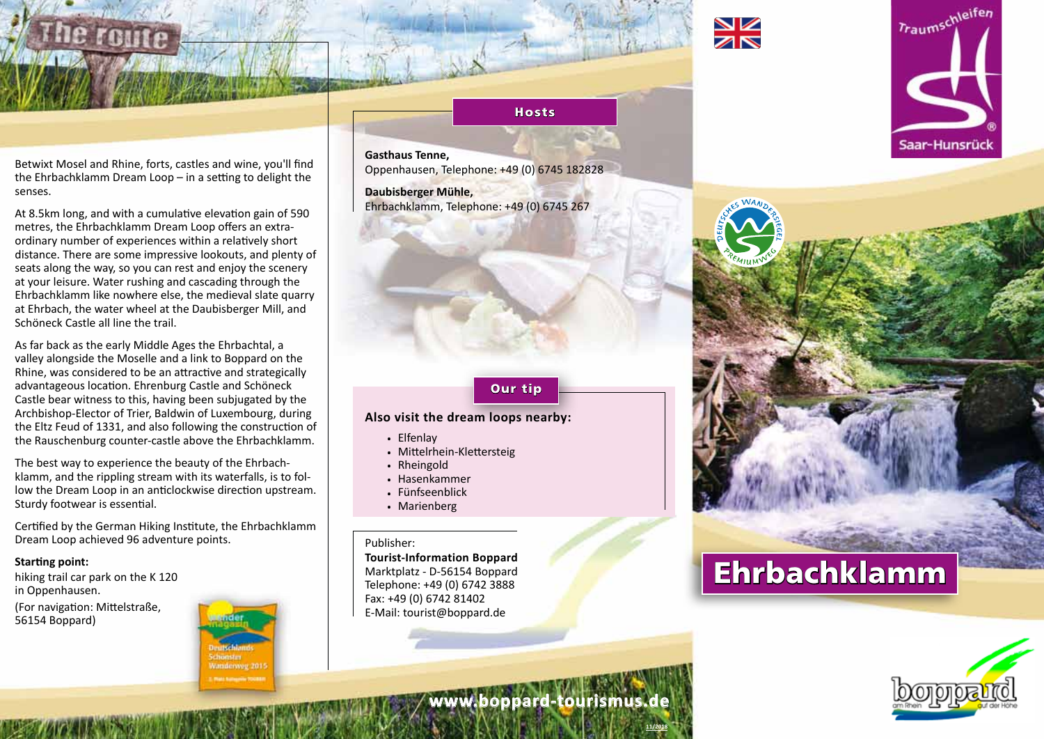

Betwixt Mosel and Rhine, forts, castles and wine, you'll find the Ehrbachklamm Dream Loop – in a setting to delight the senses.

At 8.5km long, and with a cumulative elevation gain of 590 metres, the Ehrbachklamm Dream Loop offers an extraordinary number of experiences within a relatively short distance. There are some impressive lookouts, and plenty of seats along the way, so you can rest and enjoy the scenery at your leisure. Water rushing and cascading through the Ehrbachklamm like nowhere else, the medieval slate quarry at Ehrbach, the water wheel at the Daubisberger Mill, and Schöneck Castle all line the trail.

As far back as the early Middle Ages the Ehrbachtal, a valley alongside the Moselle and a link to Boppard on the Rhine, was considered to be an attractive and strategically advantageous location. Ehrenburg Castle and Schöneck Castle bear witness to this, having been subjugated by the Archbishop-Elector of Trier, Baldwin of Luxembourg, during the Eltz Feud of 1331, and also following the construction of the Rauschenburg counter-castle above the Ehrbachklamm.

The best way to experience the beauty of the Ehrbachklamm, and the rippling stream with its waterfalls, is to follow the Dream Loop in an anticlockwise direction upstream. Sturdy footwear is essential.

Certified by the German Hiking Institute, the Ehrbachklamm Dream Loop achieved 96 adventure points.

#### **Starting point:**

hiking trail car park on the K 120 in Oppenhausen.

(For navigation: Mittelstraße, 56154 Boppard)



# **Gasthaus Tenne,**

Oppenhausen, Telephone: +49 (0) 6745 182828

**Hosts** 

**Daubisberger Mühle,**  Ehrbachklamm, Telephone: +49 (0) 6745 267

### Our tip

## **Also visit the dream loops nearby:**

- . Elfenlay
- . Mittelrhein-Klettersteig
- . Rheingold
- . Hasenkammer
- . Fünfseenblick
- . Marienberg

#### Publisher:

**Tourist-Information Boppard** Marktplatz - D-56154 Boppard Telephone: +49 (0) 6742 3888 Fax: +49 (0) 6742 81402 E-Mail: tourist@boppard.de





**www.boppard-tourismus.de**

**11/2018**